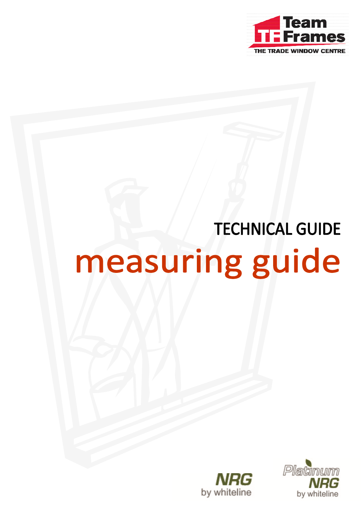

# **TECHNICAL GUIDE** measuring guide